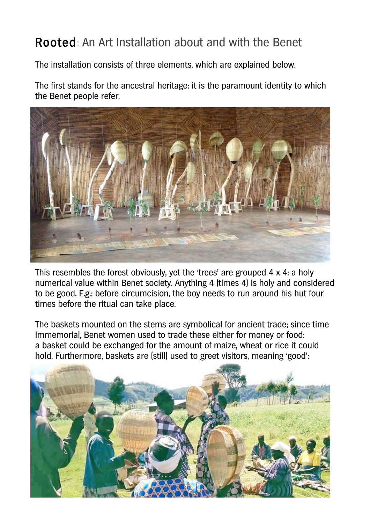## Rooted: An Art Installation about and with the Benet

The installation consists of three elements, which are explained below.

The first stands for the ancestral heritage: it is the paramount identity to which the Benet people refer.



This resembles the forest obviously, yet the 'trees' are grouped 4 x 4: a holy numerical value within Benet society. Anything 4 (times 4) is holy and considered to be good. E.g.: before circumcision, the boy needs to run around his hut four times before the ritual can take place.

The baskets mounted on the stems are symbolical for ancient trade; since time immemorial, Benet women used to trade these either for money or food: a basket could be exchanged for the amount of maize, wheat or rice it could hold. Furthermore, baskets are (still) used to greet visitors, meaning 'good':

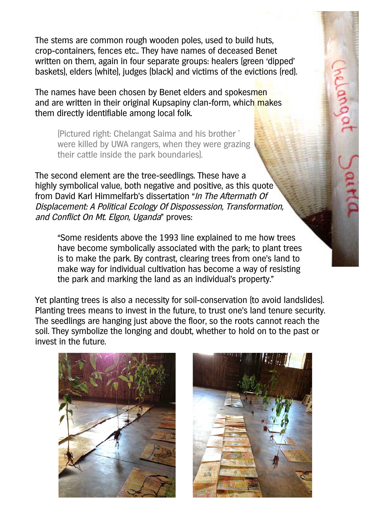The stems are common rough wooden poles, used to build huts, crop-containers, fences etc.. They have names of deceased Benet written on them, again in four separate groups: healers (green 'dipped' baskets), elders (white), judges (black) and victims of the evictions (red).

The names have been chosen by Benet elders and spokesmen and are written in their original Kupsapiny clan-form, which makes them directly identifiable among local folk.

(Pictured right: Chelangat Saima and his brother ` were killed by UWA rangers, when they were grazing their cattle inside the park boundaries).

The second element are the tree-seedlings. These have a highly symbolical value, both negative and positive, as this quote from David Karl Himmelfarb's dissertation "In The Aftermath Of Displacement: A Political Ecology Of Dispossession, Transformation, and Conflict On Mt. Elgon, Uganda" proves:

"Some residents above the 1993 line explained to me how trees have become symbolically associated with the park; to plant trees is to make the park. By contrast, clearing trees from one's land to make way for individual cultivation has become a way of resisting the park and marking the land as an individual's property."

Yet planting trees is also a necessity for soil-conservation (to avoid landslides). Planting trees means to invest in the future, to trust one's land tenure security. The seedlings are hanging just above the floor, so the roots cannot reach the soil. They symbolize the longing and doubt, whether to hold on to the past or invest in the future.





helang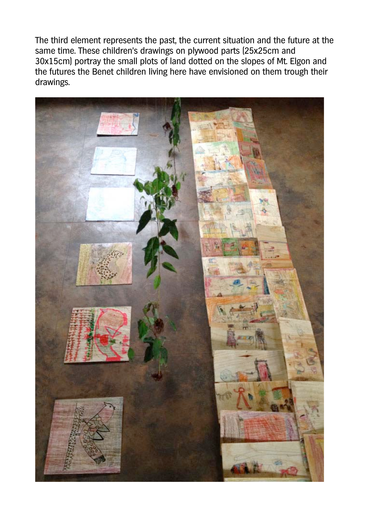The third element represents the past, the current situation and the future at the same time. These children's drawings on plywood parts (25x25cm and 30x15cm) portray the small plots of land dotted on the slopes of Mt. Elgon and the futures the Benet children living here have envisioned on them trough their drawings.

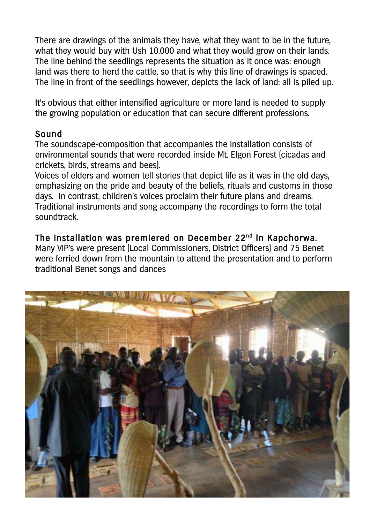There are drawings of the animals they have, what they want to be in the future, what they would buy with Ush 10.000 and what they would grow on their lands. The line behind the seedlings represents the situation as it once was: enough land was there to herd the cattle, so that is why this line of drawings is spaced. The line in front of the seedlings however, depicts the lack of land: all is piled up.

It's obvious that either intensified agriculture or more land is needed to supply the growing population or education that can secure different professions.

## Sound

The soundscape-composition that accompanies the installation consists of environmental sounds that were recorded inside Mt. Elgon Forest (cicadas and crickets, birds, streams and bees).

Voices of elders and women tell stories that depict life as it was in the old days, emphasizing on the pride and beauty of the beliefs, rituals and customs in those days. In contrast, children's voices proclaim their future plans and dreams. Traditional instruments and song accompany the recordings to form the total soundtrack.

## The installation was premiered on December 22<sup>nd</sup> in Kapchorwa.

Many VIP's were present (Local Commissioners, District Officers) and 75 Benet were ferried down from the mountain to attend the presentation and to perform traditional Benet songs and dances

![](_page_3_Picture_7.jpeg)